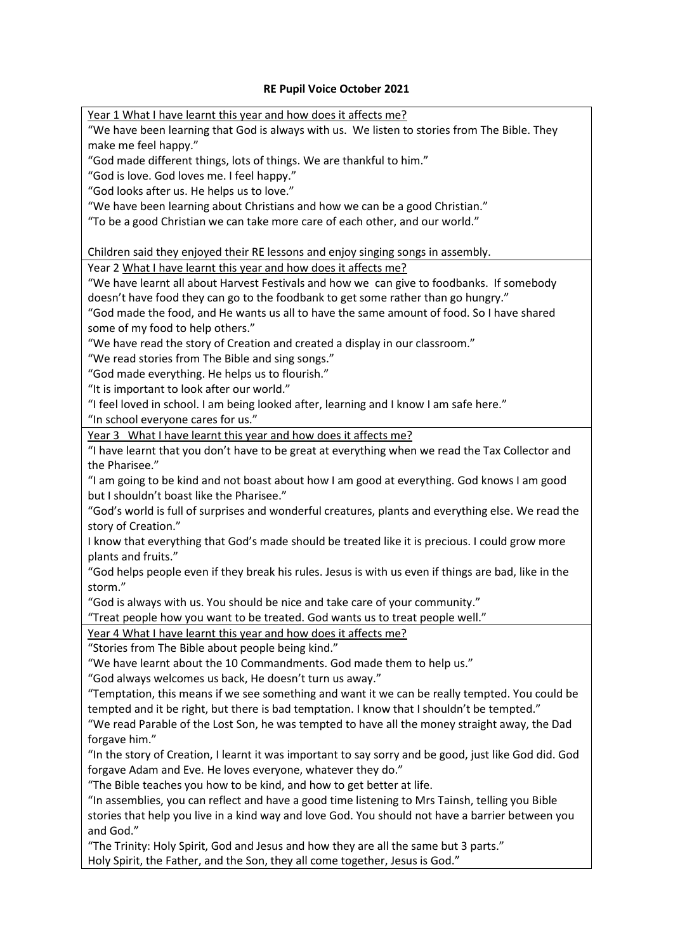## **RE Pupil Voice October 2021**

Year 1 What I have learnt this year and how does it affects me? "We have been learning that God is always with us. We listen to stories from The Bible. They make me feel happy."

"God made different things, lots of things. We are thankful to him."

"God is love. God loves me. I feel happy."

"God looks after us. He helps us to love."

"We have been learning about Christians and how we can be a good Christian."

"To be a good Christian we can take more care of each other, and our world."

Children said they enjoyed their RE lessons and enjoy singing songs in assembly.

Year 2 What I have learnt this year and how does it affects me?

"We have learnt all about Harvest Festivals and how we can give to foodbanks. If somebody doesn't have food they can go to the foodbank to get some rather than go hungry."

"God made the food, and He wants us all to have the same amount of food. So I have shared some of my food to help others."

"We have read the story of Creation and created a display in our classroom."

"We read stories from The Bible and sing songs."

"God made everything. He helps us to flourish."

"It is important to look after our world."

"I feel loved in school. I am being looked after, learning and I know I am safe here."

"In school everyone cares for us."

Year 3 What I have learnt this year and how does it affects me?

"I have learnt that you don't have to be great at everything when we read the Tax Collector and the Pharisee."

"I am going to be kind and not boast about how I am good at everything. God knows I am good but I shouldn't boast like the Pharisee."

"God's world is full of surprises and wonderful creatures, plants and everything else. We read the story of Creation."

I know that everything that God's made should be treated like it is precious. I could grow more plants and fruits."

"God helps people even if they break his rules. Jesus is with us even if things are bad, like in the storm."

"God is always with us. You should be nice and take care of your community."

"Treat people how you want to be treated. God wants us to treat people well."

Year 4 What I have learnt this year and how does it affects me?

"Stories from The Bible about people being kind."

"We have learnt about the 10 Commandments. God made them to help us."

"God always welcomes us back, He doesn't turn us away."

"Temptation, this means if we see something and want it we can be really tempted. You could be tempted and it be right, but there is bad temptation. I know that I shouldn't be tempted."

"We read Parable of the Lost Son, he was tempted to have all the money straight away, the Dad forgave him."

"In the story of Creation, I learnt it was important to say sorry and be good, just like God did. God forgave Adam and Eve. He loves everyone, whatever they do."

"The Bible teaches you how to be kind, and how to get better at life.

"In assemblies, you can reflect and have a good time listening to Mrs Tainsh, telling you Bible stories that help you live in a kind way and love God. You should not have a barrier between you and God."

"The Trinity: Holy Spirit, God and Jesus and how they are all the same but 3 parts." Holy Spirit, the Father, and the Son, they all come together, Jesus is God."